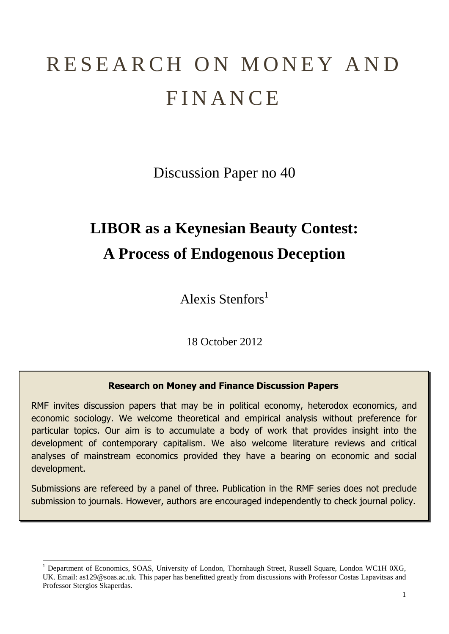# R E S E A R C H O N M O N E Y A N D **FINANCE**

Discussion Paper no 40

## **LIBOR as a Keynesian Beauty Contest: A Process of Endogenous Deception**

Alexis Stenfors<sup>1</sup>

18 October 2012

## **Research on Money and Finance Discussion Papers**

RMF invites discussion papers that may be in political economy, heterodox economics, and economic sociology. We welcome theoretical and empirical analysis without preference for particular topics. Our aim is to accumulate a body of work that provides insight into the development of contemporary capitalism. We also welcome literature reviews and critical analyses of mainstream economics provided they have a bearing on economic and social development.

Submissions are refereed by a panel of three. Publication in the RMF series does not preclude submission to journals. However, authors are encouraged independently to check journal policy.

1

<sup>&</sup>lt;sup>1</sup> Department of Economics, SOAS, University of London, Thornhaugh Street, Russell Square, London WC1H 0XG, UK. Email: as129@soas.ac.uk. This paper has benefitted greatly from discussions with Professor Costas Lapavitsas and Professor Stergios Skaperdas.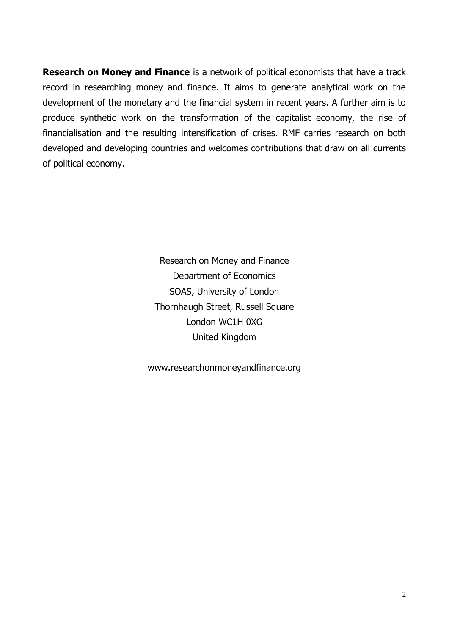**Research on Money and Finance** is a network of political economists that have a track record in researching money and finance. It aims to generate analytical work on the development of the monetary and the financial system in recent years. A further aim is to produce synthetic work on the transformation of the capitalist economy, the rise of financialisation and the resulting intensification of crises. RMF carries research on both developed and developing countries and welcomes contributions that draw on all currents of political economy.

> Research on Money and Finance Department of Economics SOAS, University of London Thornhaugh Street, Russell Square London WC1H 0XG United Kingdom

www.researchonmoneyandfinance.org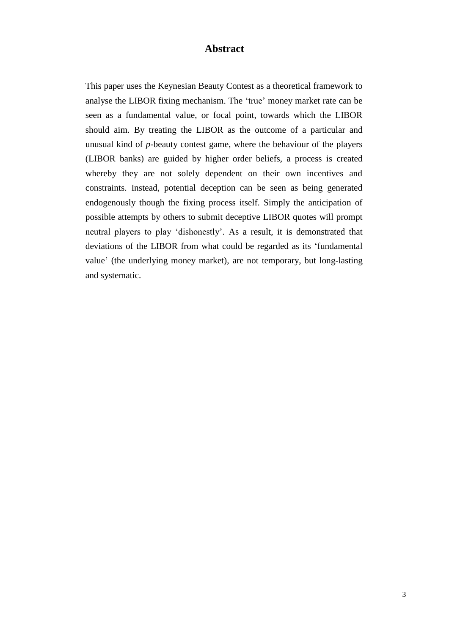## **Abstract**

This paper uses the Keynesian Beauty Contest as a theoretical framework to analyse the LIBOR fixing mechanism. The 'true' money market rate can be seen as a fundamental value, or focal point, towards which the LIBOR should aim. By treating the LIBOR as the outcome of a particular and unusual kind of *p*-beauty contest game, where the behaviour of the players (LIBOR banks) are guided by higher order beliefs, a process is created whereby they are not solely dependent on their own incentives and constraints. Instead, potential deception can be seen as being generated endogenously though the fixing process itself. Simply the anticipation of possible attempts by others to submit deceptive LIBOR quotes will prompt neutral players to play 'dishonestly'. As a result, it is demonstrated that deviations of the LIBOR from what could be regarded as its 'fundamental value' (the underlying money market), are not temporary, but long-lasting and systematic.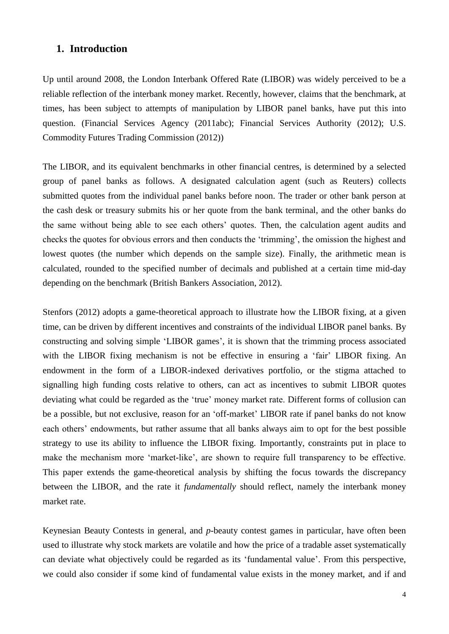## **1. Introduction**

Up until around 2008, the London Interbank Offered Rate (LIBOR) was widely perceived to be a reliable reflection of the interbank money market. Recently, however, claims that the benchmark, at times, has been subject to attempts of manipulation by LIBOR panel banks, have put this into question. (Financial Services Agency (2011abc); Financial Services Authority (2012); U.S. Commodity Futures Trading Commission (2012))

The LIBOR, and its equivalent benchmarks in other financial centres, is determined by a selected group of panel banks as follows. A designated calculation agent (such as Reuters) collects submitted quotes from the individual panel banks before noon. The trader or other bank person at the cash desk or treasury submits his or her quote from the bank terminal, and the other banks do the same without being able to see each others' quotes. Then, the calculation agent audits and checks the quotes for obvious errors and then conducts the 'trimming', the omission the highest and lowest quotes (the number which depends on the sample size). Finally, the arithmetic mean is calculated, rounded to the specified number of decimals and published at a certain time mid-day depending on the benchmark (British Bankers Association, 2012).

Stenfors (2012) adopts a game-theoretical approach to illustrate how the LIBOR fixing, at a given time, can be driven by different incentives and constraints of the individual LIBOR panel banks. By constructing and solving simple 'LIBOR games', it is shown that the trimming process associated with the LIBOR fixing mechanism is not be effective in ensuring a 'fair' LIBOR fixing. An endowment in the form of a LIBOR-indexed derivatives portfolio, or the stigma attached to signalling high funding costs relative to others, can act as incentives to submit LIBOR quotes deviating what could be regarded as the 'true' money market rate. Different forms of collusion can be a possible, but not exclusive, reason for an 'off-market' LIBOR rate if panel banks do not know each others' endowments, but rather assume that all banks always aim to opt for the best possible strategy to use its ability to influence the LIBOR fixing. Importantly, constraints put in place to make the mechanism more 'market-like', are shown to require full transparency to be effective. This paper extends the game-theoretical analysis by shifting the focus towards the discrepancy between the LIBOR, and the rate it *fundamentally* should reflect, namely the interbank money market rate.

Keynesian Beauty Contests in general, and *p*-beauty contest games in particular, have often been used to illustrate why stock markets are volatile and how the price of a tradable asset systematically can deviate what objectively could be regarded as its 'fundamental value'. From this perspective, we could also consider if some kind of fundamental value exists in the money market, and if and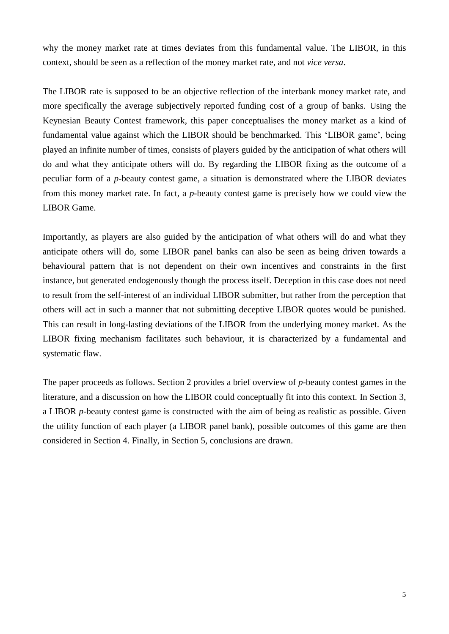why the money market rate at times deviates from this fundamental value. The LIBOR, in this context, should be seen as a reflection of the money market rate, and not *vice versa*.

The LIBOR rate is supposed to be an objective reflection of the interbank money market rate, and more specifically the average subjectively reported funding cost of a group of banks. Using the Keynesian Beauty Contest framework, this paper conceptualises the money market as a kind of fundamental value against which the LIBOR should be benchmarked. This 'LIBOR game', being played an infinite number of times, consists of players guided by the anticipation of what others will do and what they anticipate others will do. By regarding the LIBOR fixing as the outcome of a peculiar form of a *p*-beauty contest game, a situation is demonstrated where the LIBOR deviates from this money market rate. In fact, a *p*-beauty contest game is precisely how we could view the LIBOR Game.

Importantly, as players are also guided by the anticipation of what others will do and what they anticipate others will do, some LIBOR panel banks can also be seen as being driven towards a behavioural pattern that is not dependent on their own incentives and constraints in the first instance, but generated endogenously though the process itself. Deception in this case does not need to result from the self-interest of an individual LIBOR submitter, but rather from the perception that others will act in such a manner that not submitting deceptive LIBOR quotes would be punished. This can result in long-lasting deviations of the LIBOR from the underlying money market. As the LIBOR fixing mechanism facilitates such behaviour, it is characterized by a fundamental and systematic flaw.

The paper proceeds as follows. Section 2 provides a brief overview of *p*-beauty contest games in the literature, and a discussion on how the LIBOR could conceptually fit into this context. In Section 3, a LIBOR *p*-beauty contest game is constructed with the aim of being as realistic as possible. Given the utility function of each player (a LIBOR panel bank), possible outcomes of this game are then considered in Section 4. Finally, in Section 5, conclusions are drawn.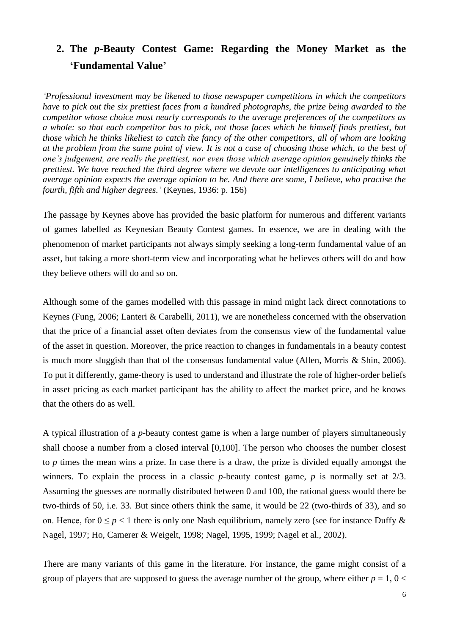## **2. The** *p***-Beauty Contest Game: Regarding the Money Market as the 'Fundamental Value'**

*'Professional investment may be likened to those newspaper competitions in which the competitors have to pick out the six prettiest faces from a hundred photographs, the prize being awarded to the competitor whose choice most nearly corresponds to the average preferences of the competitors as a whole: so that each competitor has to pick, not those faces which he himself finds prettiest, but those which he thinks likeliest to catch the fancy of the other competitors, all of whom are looking at the problem from the same point of view. It is not a case of choosing those which, to the best of one's judgement, are really the prettiest, nor even those which average opinion genuinely thinks the prettiest. We have reached the third degree where we devote our intelligences to anticipating what average opinion expects the average opinion to be. And there are some, I believe, who practise the fourth, fifth and higher degrees.'* (Keynes, 1936: p. 156)

The passage by Keynes above has provided the basic platform for numerous and different variants of games labelled as Keynesian Beauty Contest games. In essence, we are in dealing with the phenomenon of market participants not always simply seeking a long-term fundamental value of an asset, but taking a more short-term view and incorporating what he believes others will do and how they believe others will do and so on.

Although some of the games modelled with this passage in mind might lack direct connotations to Keynes (Fung, 2006; Lanteri & Carabelli, 2011), we are nonetheless concerned with the observation that the price of a financial asset often deviates from the consensus view of the fundamental value of the asset in question. Moreover, the price reaction to changes in fundamentals in a beauty contest is much more sluggish than that of the consensus fundamental value (Allen, Morris & Shin, 2006). To put it differently, game-theory is used to understand and illustrate the role of higher-order beliefs in asset pricing as each market participant has the ability to affect the market price, and he knows that the others do as well.

A typical illustration of a *p*-beauty contest game is when a large number of players simultaneously shall choose a number from a closed interval [0,100]. The person who chooses the number closest to *p* times the mean wins a prize. In case there is a draw, the prize is divided equally amongst the winners. To explain the process in a classic *p*-beauty contest game, *p* is normally set at 2/3. Assuming the guesses are normally distributed between 0 and 100, the rational guess would there be two-thirds of 50, i.e. 33. But since others think the same, it would be 22 (two-thirds of 33), and so on. Hence, for  $0 \le p < 1$  there is only one Nash equilibrium, namely zero (see for instance Duffy  $\&$ Nagel, 1997; Ho, Camerer & Weigelt, 1998; Nagel, 1995, 1999; Nagel et al., 2002).

There are many variants of this game in the literature. For instance, the game might consist of a group of players that are supposed to guess the average number of the group, where either  $p = 1, 0 <$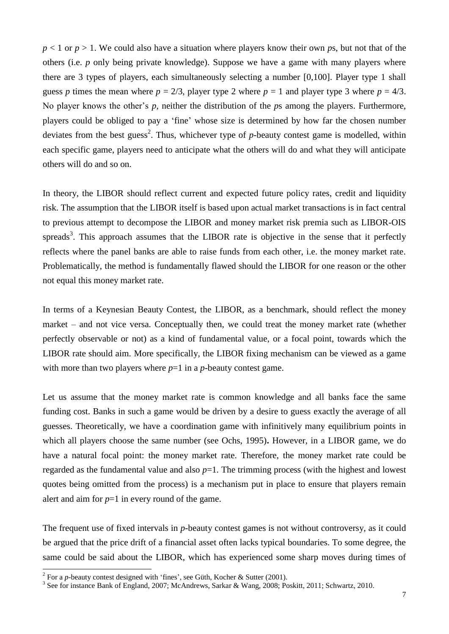$p < 1$  or  $p > 1$ . We could also have a situation where players know their own *ps*, but not that of the others (i.e. *p* only being private knowledge). Suppose we have a game with many players where there are 3 types of players, each simultaneously selecting a number [0,100]. Player type 1 shall guess *p* times the mean where  $p = 2/3$ , player type 2 where  $p = 1$  and player type 3 where  $p = 4/3$ . No player knows the other's *p*, neither the distribution of the *p*s among the players. Furthermore, players could be obliged to pay a 'fine' whose size is determined by how far the chosen number deviates from the best guess<sup>2</sup>. Thus, whichever type of  $p$ -beauty contest game is modelled, within each specific game, players need to anticipate what the others will do and what they will anticipate others will do and so on.

In theory, the LIBOR should reflect current and expected future policy rates, credit and liquidity risk. The assumption that the LIBOR itself is based upon actual market transactions is in fact central to previous attempt to decompose the LIBOR and money market risk premia such as LIBOR-OIS spreads<sup>3</sup>. This approach assumes that the LIBOR rate is objective in the sense that it perfectly reflects where the panel banks are able to raise funds from each other, i.e. the money market rate. Problematically, the method is fundamentally flawed should the LIBOR for one reason or the other not equal this money market rate.

In terms of a Keynesian Beauty Contest, the LIBOR, as a benchmark, should reflect the money market – and not vice versa. Conceptually then, we could treat the money market rate (whether perfectly observable or not) as a kind of fundamental value, or a focal point, towards which the LIBOR rate should aim. More specifically, the LIBOR fixing mechanism can be viewed as a game with more than two players where  $p=1$  in a *p*-beauty contest game.

Let us assume that the money market rate is common knowledge and all banks face the same funding cost. Banks in such a game would be driven by a desire to guess exactly the average of all guesses. Theoretically, we have a coordination game with infinitively many equilibrium points in which all players choose the same number (see Ochs, 1995)**.** However, in a LIBOR game, we do have a natural focal point: the money market rate. Therefore, the money market rate could be regarded as the fundamental value and also *p*=1. The trimming process (with the highest and lowest quotes being omitted from the process) is a mechanism put in place to ensure that players remain alert and aim for  $p=1$  in every round of the game.

The frequent use of fixed intervals in *p*-beauty contest games is not without controversy, as it could be argued that the price drift of a financial asset often lacks typical boundaries. To some degree, the same could be said about the LIBOR, which has experienced some sharp moves during times of

<sup>&</sup>lt;sup>2</sup> For a *p*-beauty contest designed with 'fines', see Güth, Kocher & Sutter (2001).

<sup>&</sup>lt;sup>3</sup> See for instance Bank of England, 2007; McAndrews, Sarkar & Wang, 2008; Poskitt, 2011; Schwartz, 2010.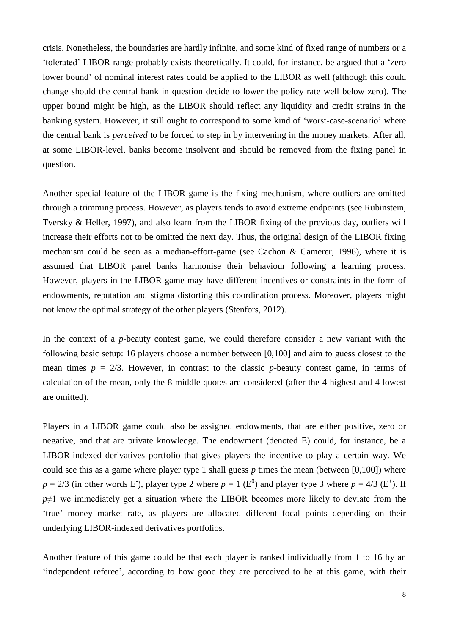crisis. Nonetheless, the boundaries are hardly infinite, and some kind of fixed range of numbers or a 'tolerated' LIBOR range probably exists theoretically. It could, for instance, be argued that a 'zero lower bound' of nominal interest rates could be applied to the LIBOR as well (although this could change should the central bank in question decide to lower the policy rate well below zero). The upper bound might be high, as the LIBOR should reflect any liquidity and credit strains in the banking system. However, it still ought to correspond to some kind of 'worst-case-scenario' where the central bank is *perceived* to be forced to step in by intervening in the money markets. After all, at some LIBOR-level, banks become insolvent and should be removed from the fixing panel in question.

Another special feature of the LIBOR game is the fixing mechanism, where outliers are omitted through a trimming process. However, as players tends to avoid extreme endpoints (see Rubinstein, Tversky & Heller, 1997), and also learn from the LIBOR fixing of the previous day, outliers will increase their efforts not to be omitted the next day. Thus, the original design of the LIBOR fixing mechanism could be seen as a median-effort-game (see Cachon & Camerer, 1996), where it is assumed that LIBOR panel banks harmonise their behaviour following a learning process. However, players in the LIBOR game may have different incentives or constraints in the form of endowments, reputation and stigma distorting this coordination process. Moreover, players might not know the optimal strategy of the other players (Stenfors, 2012).

In the context of a *p*-beauty contest game, we could therefore consider a new variant with the following basic setup: 16 players choose a number between [0,100] and aim to guess closest to the mean times  $p = 2/3$ . However, in contrast to the classic *p*-beauty contest game, in terms of calculation of the mean, only the 8 middle quotes are considered (after the 4 highest and 4 lowest are omitted).

Players in a LIBOR game could also be assigned endowments, that are either positive, zero or negative, and that are private knowledge. The endowment (denoted E) could, for instance, be a LIBOR-indexed derivatives portfolio that gives players the incentive to play a certain way. We could see this as a game where player type 1 shall guess  $p$  times the mean (between [0,100]) where  $p = 2/3$  (in other words E), player type 2 where  $p = 1$  (E<sup>0</sup>) and player type 3 where  $p = 4/3$  (E<sup>+</sup>). If *p*≠1 we immediately get a situation where the LIBOR becomes more likely to deviate from the 'true' money market rate, as players are allocated different focal points depending on their underlying LIBOR-indexed derivatives portfolios.

Another feature of this game could be that each player is ranked individually from 1 to 16 by an 'independent referee', according to how good they are perceived to be at this game, with their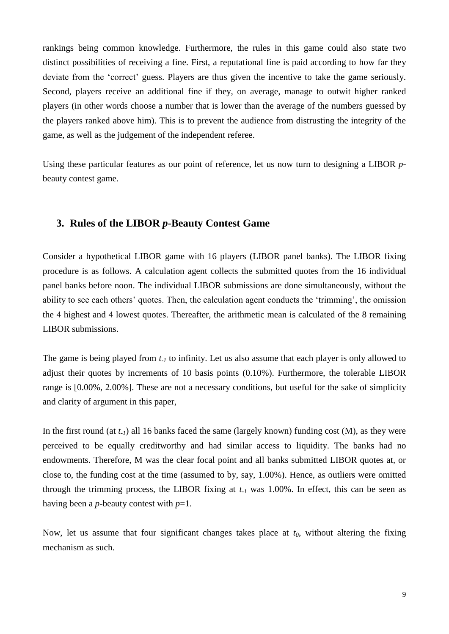rankings being common knowledge. Furthermore, the rules in this game could also state two distinct possibilities of receiving a fine. First, a reputational fine is paid according to how far they deviate from the 'correct' guess. Players are thus given the incentive to take the game seriously. Second, players receive an additional fine if they, on average, manage to outwit higher ranked players (in other words choose a number that is lower than the average of the numbers guessed by the players ranked above him). This is to prevent the audience from distrusting the integrity of the game, as well as the judgement of the independent referee.

Using these particular features as our point of reference, let us now turn to designing a LIBOR *p*beauty contest game.

### **3. Rules of the LIBOR** *p***-Beauty Contest Game**

Consider a hypothetical LIBOR game with 16 players (LIBOR panel banks). The LIBOR fixing procedure is as follows. A calculation agent collects the submitted quotes from the 16 individual panel banks before noon. The individual LIBOR submissions are done simultaneously, without the ability to see each others' quotes. Then, the calculation agent conducts the 'trimming', the omission the 4 highest and 4 lowest quotes. Thereafter, the arithmetic mean is calculated of the 8 remaining LIBOR submissions.

The game is being played from *t-1* to infinity. Let us also assume that each player is only allowed to adjust their quotes by increments of 10 basis points (0.10%). Furthermore, the tolerable LIBOR range is [0.00%, 2.00%]. These are not a necessary conditions, but useful for the sake of simplicity and clarity of argument in this paper,

In the first round (at *t-1*) all 16 banks faced the same (largely known) funding cost (M), as they were perceived to be equally creditworthy and had similar access to liquidity. The banks had no endowments. Therefore, M was the clear focal point and all banks submitted LIBOR quotes at, or close to, the funding cost at the time (assumed to by, say, 1.00%). Hence, as outliers were omitted through the trimming process, the LIBOR fixing at *t-1* was 1.00%. In effect, this can be seen as having been a *p*-beauty contest with *p*=1.

Now, let us assume that four significant changes takes place at *t0*, without altering the fixing mechanism as such.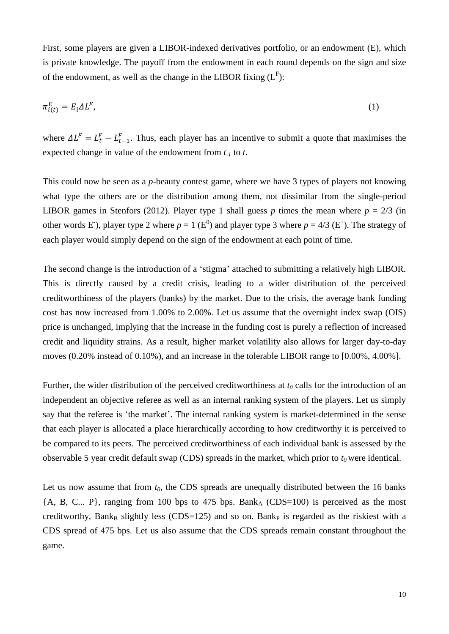First, some players are given a LIBOR-indexed derivatives portfolio, or an endowment (E), which is private knowledge. The payoff from the endowment in each round depends on the sign and size of the endowment, as well as the change in the LIBOR fixing  $(L<sup>F</sup>)$ :

$$
\pi_{i(t)}^E = E_i \Delta L^F,\tag{1}
$$

where  $\Delta L^F = L^F_t - L^F_{t-1}$ . Thus, each player has an incentive to submit a quote that maximises the expected change in value of the endowment from *t-1* to *t*.

This could now be seen as a *p*-beauty contest game, where we have 3 types of players not knowing what type the others are or the distribution among them, not dissimilar from the single-period LIBOR games in Stenfors (2012). Player type 1 shall guess *p* times the mean where  $p = 2/3$  (in other words E<sup>-</sup>), player type 2 where  $p = 1$  (E<sup>0</sup>) and player type 3 where  $p = 4/3$  (E<sup>+</sup>). The strategy of each player would simply depend on the sign of the endowment at each point of time.

The second change is the introduction of a 'stigma' attached to submitting a relatively high LIBOR. This is directly caused by a credit crisis, leading to a wider distribution of the perceived creditworthiness of the players (banks) by the market. Due to the crisis, the average bank funding cost has now increased from 1.00% to 2.00%. Let us assume that the overnight index swap (OIS) price is unchanged, implying that the increase in the funding cost is purely a reflection of increased credit and liquidity strains. As a result, higher market volatility also allows for larger day-to-day moves (0.20% instead of 0.10%), and an increase in the tolerable LIBOR range to [0.00%, 4.00%].

Further, the wider distribution of the perceived creditworthiness at  $t<sub>0</sub>$  calls for the introduction of an independent an objective referee as well as an internal ranking system of the players. Let us simply say that the referee is 'the market'. The internal ranking system is market-determined in the sense that each player is allocated a place hierarchically according to how creditworthy it is perceived to be compared to its peers. The perceived creditworthiness of each individual bank is assessed by the observable 5 year credit default swap (CDS) spreads in the market, which prior to  $t_0$  were identical.

Let us now assume that from  $t_0$ , the CDS spreads are unequally distributed between the 16 banks  ${A, B, C... P}$ , ranging from 100 bps to 475 bps. Bank<sub>A</sub> (CDS=100) is perceived as the most creditworthy, Bank<sub>B</sub> slightly less (CDS=125) and so on. Bank<sub>P</sub> is regarded as the riskiest with a CDS spread of 475 bps. Let us also assume that the CDS spreads remain constant throughout the game.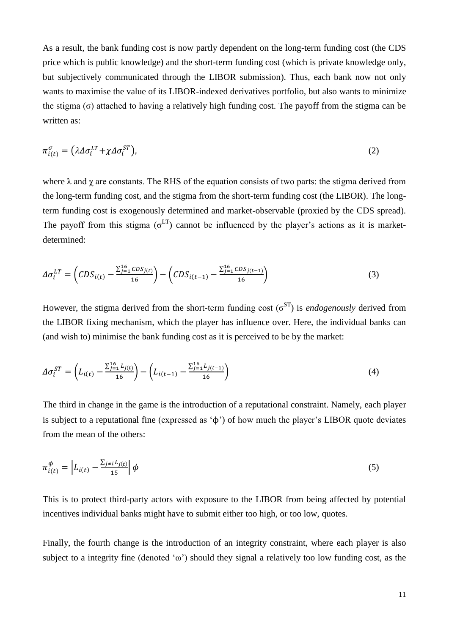As a result, the bank funding cost is now partly dependent on the long-term funding cost (the CDS price which is public knowledge) and the short-term funding cost (which is private knowledge only, but subjectively communicated through the LIBOR submission). Thus, each bank now not only wants to maximise the value of its LIBOR-indexed derivatives portfolio, but also wants to minimize the stigma (σ) attached to having a relatively high funding cost. The payoff from the stigma can be written as:

$$
\pi_{i(t)}^{\sigma} = (\lambda \Delta \sigma_i^{LT} + \chi \Delta \sigma_i^{ST}), \tag{2}
$$

where  $\lambda$  and  $\gamma$  are constants. The RHS of the equation consists of two parts: the stigma derived from the long-term funding cost, and the stigma from the short-term funding cost (the LIBOR). The longterm funding cost is exogenously determined and market-observable (proxied by the CDS spread). The payoff from this stigma ( $\sigma^{\text{LT}}$ ) cannot be influenced by the player's actions as it is marketdetermined:

$$
\Delta \sigma_i^{LT} = \left( CDS_{i(t)} - \frac{\sum_{j=1}^{16} CDS_{j(t)}}{16} \right) - \left( CDS_{i(t-1)} - \frac{\sum_{j=1}^{16} CDS_{j(t-1)}}{16} \right) \tag{3}
$$

However, the stigma derived from the short-term funding cost  $(\sigma^{ST})$  is *endogenously* derived from the LIBOR fixing mechanism, which the player has influence over. Here, the individual banks can (and wish to) minimise the bank funding cost as it is perceived to be by the market:

$$
\Delta \sigma_i^{ST} = \left( L_{i(t)} - \frac{\sum_{j=1}^{16} L_{j(t)}}{16} \right) - \left( L_{i(t-1)} - \frac{\sum_{j=1}^{16} L_{j(t-1)}}{16} \right) \tag{4}
$$

The third in change in the game is the introduction of a reputational constraint. Namely, each player is subject to a reputational fine (expressed as  $\phi$ ) of how much the player's LIBOR quote deviates from the mean of the others:

$$
\pi_{i(t)}^{\phi} = \left| L_{i(t)} - \frac{\sum_{j \neq i} L_{j(t)}}{15} \right| \phi \tag{5}
$$

This is to protect third-party actors with exposure to the LIBOR from being affected by potential incentives individual banks might have to submit either too high, or too low, quotes.

Finally, the fourth change is the introduction of an integrity constraint, where each player is also subject to a integrity fine (denoted ' $\omega$ ) should they signal a relatively too low funding cost, as the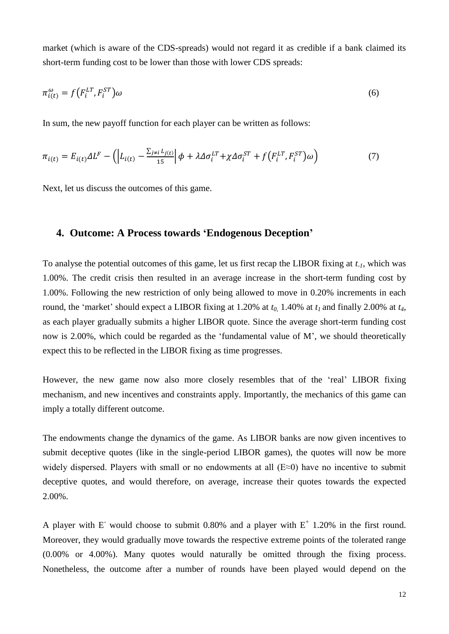market (which is aware of the CDS-spreads) would not regard it as credible if a bank claimed its short-term funding cost to be lower than those with lower CDS spreads:

$$
\pi_{i(t)}^{\omega} = f\left(F_i^{LT}, F_i^{ST}\right)\omega\tag{6}
$$

In sum, the new payoff function for each player can be written as follows:

$$
\pi_{i(t)} = E_{i(t)} \Delta L^F - \left( \left| L_{i(t)} - \frac{\Sigma_{j \neq i} L_{j(t)}}{15} \right| \phi + \lambda \Delta \sigma_i^{LT} + \chi \Delta \sigma_i^{ST} + f \left( F_i^{LT}, F_i^{ST} \right) \omega \right) \tag{7}
$$

Next, let us discuss the outcomes of this game.

#### **4. Outcome: A Process towards 'Endogenous Deception'**

To analyse the potential outcomes of this game, let us first recap the LIBOR fixing at *t-1*, which was 1.00%. The credit crisis then resulted in an average increase in the short-term funding cost by 1.00%. Following the new restriction of only being allowed to move in 0.20% increments in each round, the 'market' should expect a LIBOR fixing at 1.20% at  $t_0$ , 1.40% at  $t_1$  and finally 2.00% at  $t_4$ , as each player gradually submits a higher LIBOR quote. Since the average short-term funding cost now is 2.00%, which could be regarded as the 'fundamental value of M', we should theoretically expect this to be reflected in the LIBOR fixing as time progresses.

However, the new game now also more closely resembles that of the 'real' LIBOR fixing mechanism, and new incentives and constraints apply. Importantly, the mechanics of this game can imply a totally different outcome.

The endowments change the dynamics of the game. As LIBOR banks are now given incentives to submit deceptive quotes (like in the single-period LIBOR games), the quotes will now be more widely dispersed. Players with small or no endowments at all (E≈0) have no incentive to submit deceptive quotes, and would therefore, on average, increase their quotes towards the expected 2.00%.

A player with E would choose to submit 0.80% and a player with  $E^+$  1.20% in the first round. Moreover, they would gradually move towards the respective extreme points of the tolerated range (0.00% or 4.00%). Many quotes would naturally be omitted through the fixing process. Nonetheless, the outcome after a number of rounds have been played would depend on the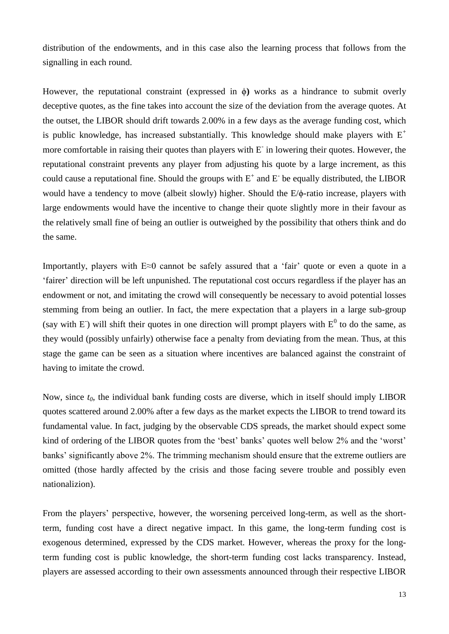distribution of the endowments, and in this case also the learning process that follows from the signalling in each round.

However, the reputational constraint (expressed in ϕ**)** works as a hindrance to submit overly deceptive quotes, as the fine takes into account the size of the deviation from the average quotes. At the outset, the LIBOR should drift towards 2.00% in a few days as the average funding cost, which is public knowledge, has increased substantially. This knowledge should make players with  $E^+$ more comfortable in raising their quotes than players with  $E^-$  in lowering their quotes. However, the reputational constraint prevents any player from adjusting his quote by a large increment, as this could cause a reputational fine. Should the groups with  $E^+$  and  $E^-$  be equally distributed, the LIBOR would have a tendency to move (albeit slowly) higher. Should the E/ϕ-ratio increase, players with large endowments would have the incentive to change their quote slightly more in their favour as the relatively small fine of being an outlier is outweighed by the possibility that others think and do the same.

Importantly, players with E≈0 cannot be safely assured that a 'fair' quote or even a quote in a 'fairer' direction will be left unpunished. The reputational cost occurs regardless if the player has an endowment or not, and imitating the crowd will consequently be necessary to avoid potential losses stemming from being an outlier. In fact, the mere expectation that a players in a large sub-group (say with E) will shift their quotes in one direction will prompt players with  $E^0$  to do the same, as they would (possibly unfairly) otherwise face a penalty from deviating from the mean. Thus, at this stage the game can be seen as a situation where incentives are balanced against the constraint of having to imitate the crowd.

Now, since  $t_0$ , the individual bank funding costs are diverse, which in itself should imply LIBOR quotes scattered around 2.00% after a few days as the market expects the LIBOR to trend toward its fundamental value. In fact, judging by the observable CDS spreads, the market should expect some kind of ordering of the LIBOR quotes from the 'best' banks' quotes well below 2% and the 'worst' banks' significantly above 2%. The trimming mechanism should ensure that the extreme outliers are omitted (those hardly affected by the crisis and those facing severe trouble and possibly even nationalizion).

From the players' perspective, however, the worsening perceived long-term, as well as the shortterm, funding cost have a direct negative impact. In this game, the long-term funding cost is exogenous determined, expressed by the CDS market. However, whereas the proxy for the longterm funding cost is public knowledge, the short-term funding cost lacks transparency. Instead, players are assessed according to their own assessments announced through their respective LIBOR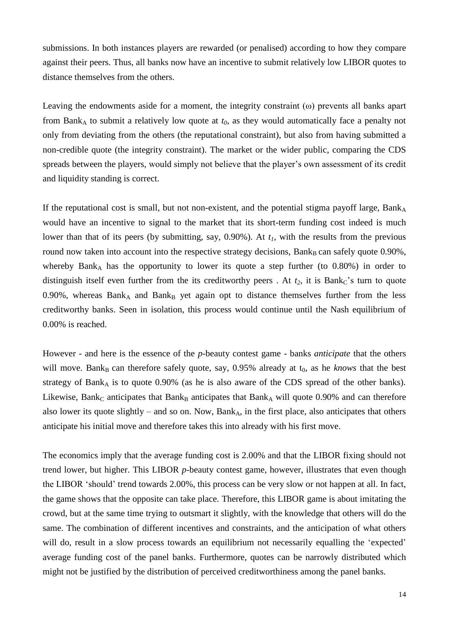submissions. In both instances players are rewarded (or penalised) according to how they compare against their peers. Thus, all banks now have an incentive to submit relatively low LIBOR quotes to distance themselves from the others.

Leaving the endowments aside for a moment, the integrity constraint  $(\omega)$  prevents all banks apart from Bank<sub>A</sub> to submit a relatively low quote at  $t_0$ , as they would automatically face a penalty not only from deviating from the others (the reputational constraint), but also from having submitted a non-credible quote (the integrity constraint). The market or the wider public, comparing the CDS spreads between the players, would simply not believe that the player's own assessment of its credit and liquidity standing is correct.

If the reputational cost is small, but not non-existent, and the potential stigma payoff large,  $Bank_A$ would have an incentive to signal to the market that its short-term funding cost indeed is much lower than that of its peers (by submitting, say, 0.90%). At *t1,* with the results from the previous round now taken into account into the respective strategy decisions,  $Bank_B$  can safely quote 0.90%, whereby Bank<sub>A</sub> has the opportunity to lower its quote a step further (to  $0.80\%$ ) in order to distinguish itself even further from the its creditworthy peers. At  $t_2$ , it is Bank<sub>C</sub>'s turn to quote 0.90%, whereas  $Bank_A$  and  $Bank_B$  yet again opt to distance themselves further from the less creditworthy banks. Seen in isolation, this process would continue until the Nash equilibrium of 0.00% is reached.

However - and here is the essence of the *p*-beauty contest game - banks *anticipate* that the others will move. Bank<sub>B</sub> can therefore safely quote, say,  $0.95%$  already at t<sub>0</sub>, as he *knows* that the best strategy of Bank<sub>A</sub> is to quote  $0.90\%$  (as he is also aware of the CDS spread of the other banks). Likewise, Bank<sub>C</sub> anticipates that Bank<sub>B</sub> anticipates that Bank<sub>A</sub> will quote 0.90% and can therefore also lower its quote slightly – and so on. Now, Bank<sub>A</sub>, in the first place, also anticipates that others anticipate his initial move and therefore takes this into already with his first move.

The economics imply that the average funding cost is 2.00% and that the LIBOR fixing should not trend lower, but higher. This LIBOR *p*-beauty contest game, however, illustrates that even though the LIBOR 'should' trend towards 2.00%, this process can be very slow or not happen at all. In fact, the game shows that the opposite can take place. Therefore, this LIBOR game is about imitating the crowd, but at the same time trying to outsmart it slightly, with the knowledge that others will do the same. The combination of different incentives and constraints, and the anticipation of what others will do, result in a slow process towards an equilibrium not necessarily equalling the 'expected' average funding cost of the panel banks. Furthermore, quotes can be narrowly distributed which might not be justified by the distribution of perceived creditworthiness among the panel banks.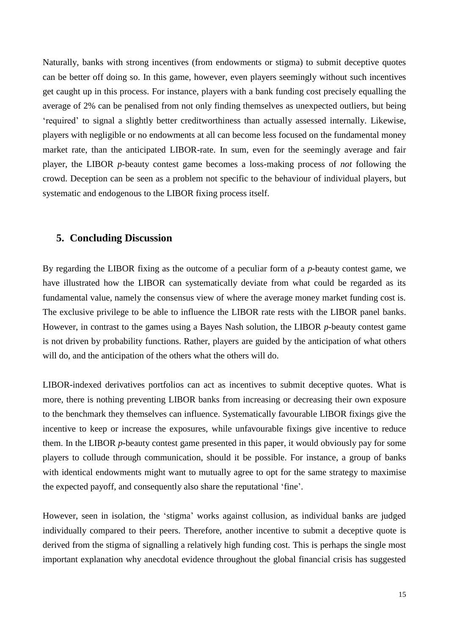Naturally, banks with strong incentives (from endowments or stigma) to submit deceptive quotes can be better off doing so. In this game, however, even players seemingly without such incentives get caught up in this process. For instance, players with a bank funding cost precisely equalling the average of 2% can be penalised from not only finding themselves as unexpected outliers, but being 'required' to signal a slightly better creditworthiness than actually assessed internally. Likewise, players with negligible or no endowments at all can become less focused on the fundamental money market rate, than the anticipated LIBOR-rate. In sum, even for the seemingly average and fair player, the LIBOR *p*-beauty contest game becomes a loss-making process of *not* following the crowd. Deception can be seen as a problem not specific to the behaviour of individual players, but systematic and endogenous to the LIBOR fixing process itself.

## **5. Concluding Discussion**

By regarding the LIBOR fixing as the outcome of a peculiar form of a *p*-beauty contest game, we have illustrated how the LIBOR can systematically deviate from what could be regarded as its fundamental value, namely the consensus view of where the average money market funding cost is. The exclusive privilege to be able to influence the LIBOR rate rests with the LIBOR panel banks. However, in contrast to the games using a Bayes Nash solution, the LIBOR *p*-beauty contest game is not driven by probability functions. Rather, players are guided by the anticipation of what others will do, and the anticipation of the others what the others will do.

LIBOR-indexed derivatives portfolios can act as incentives to submit deceptive quotes. What is more, there is nothing preventing LIBOR banks from increasing or decreasing their own exposure to the benchmark they themselves can influence. Systematically favourable LIBOR fixings give the incentive to keep or increase the exposures, while unfavourable fixings give incentive to reduce them. In the LIBOR *p*-beauty contest game presented in this paper, it would obviously pay for some players to collude through communication, should it be possible. For instance, a group of banks with identical endowments might want to mutually agree to opt for the same strategy to maximise the expected payoff, and consequently also share the reputational 'fine'.

However, seen in isolation, the 'stigma' works against collusion, as individual banks are judged individually compared to their peers. Therefore, another incentive to submit a deceptive quote is derived from the stigma of signalling a relatively high funding cost. This is perhaps the single most important explanation why anecdotal evidence throughout the global financial crisis has suggested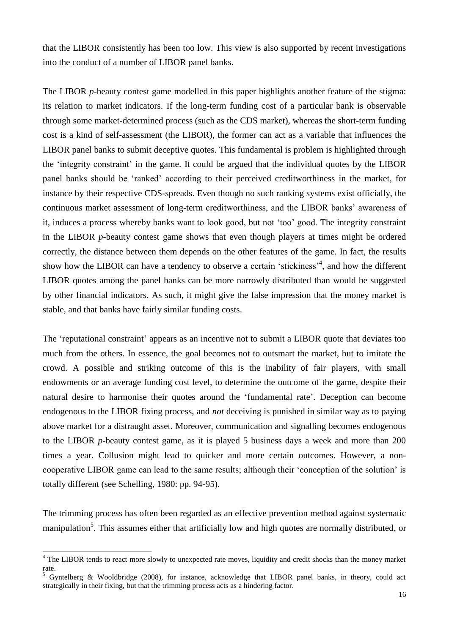that the LIBOR consistently has been too low. This view is also supported by recent investigations into the conduct of a number of LIBOR panel banks.

The LIBOR *p*-beauty contest game modelled in this paper highlights another feature of the stigma: its relation to market indicators. If the long-term funding cost of a particular bank is observable through some market-determined process (such as the CDS market), whereas the short-term funding cost is a kind of self-assessment (the LIBOR), the former can act as a variable that influences the LIBOR panel banks to submit deceptive quotes. This fundamental is problem is highlighted through the 'integrity constraint' in the game. It could be argued that the individual quotes by the LIBOR panel banks should be 'ranked' according to their perceived creditworthiness in the market, for instance by their respective CDS-spreads. Even though no such ranking systems exist officially, the continuous market assessment of long-term creditworthiness, and the LIBOR banks' awareness of it, induces a process whereby banks want to look good, but not 'too' good. The integrity constraint in the LIBOR *p*-beauty contest game shows that even though players at times might be ordered correctly, the distance between them depends on the other features of the game. In fact, the results show how the LIBOR can have a tendency to observe a certain 'stickiness'<sup>4</sup>, and how the different LIBOR quotes among the panel banks can be more narrowly distributed than would be suggested by other financial indicators. As such, it might give the false impression that the money market is stable, and that banks have fairly similar funding costs.

The 'reputational constraint' appears as an incentive not to submit a LIBOR quote that deviates too much from the others. In essence, the goal becomes not to outsmart the market, but to imitate the crowd. A possible and striking outcome of this is the inability of fair players, with small endowments or an average funding cost level, to determine the outcome of the game, despite their natural desire to harmonise their quotes around the 'fundamental rate'. Deception can become endogenous to the LIBOR fixing process, and *not* deceiving is punished in similar way as to paying above market for a distraught asset. Moreover, communication and signalling becomes endogenous to the LIBOR *p*-beauty contest game, as it is played 5 business days a week and more than 200 times a year. Collusion might lead to quicker and more certain outcomes. However, a noncooperative LIBOR game can lead to the same results; although their 'conception of the solution' is totally different (see Schelling, 1980: pp. 94-95).

The trimming process has often been regarded as an effective prevention method against systematic manipulation<sup>5</sup>. This assumes either that artificially low and high quotes are normally distributed, or

-

<sup>&</sup>lt;sup>4</sup> The LIBOR tends to react more slowly to unexpected rate moves, liquidity and credit shocks than the money market rate.

<sup>5</sup> Gyntelberg & Wooldbridge (2008), for instance, acknowledge that LIBOR panel banks, in theory, could act strategically in their fixing, but that the trimming process acts as a hindering factor.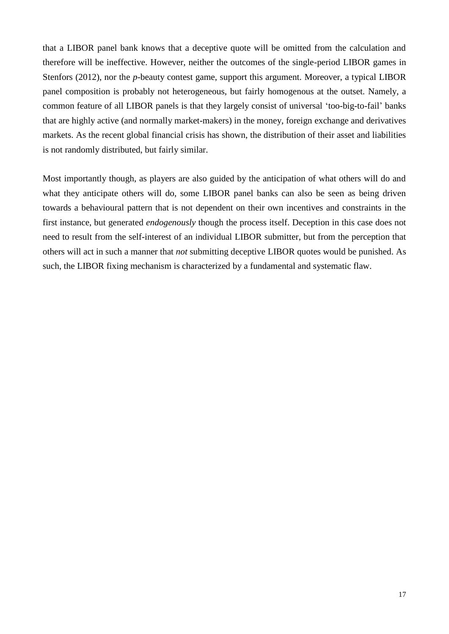that a LIBOR panel bank knows that a deceptive quote will be omitted from the calculation and therefore will be ineffective. However, neither the outcomes of the single-period LIBOR games in Stenfors (2012), nor the *p*-beauty contest game, support this argument. Moreover, a typical LIBOR panel composition is probably not heterogeneous, but fairly homogenous at the outset. Namely, a common feature of all LIBOR panels is that they largely consist of universal 'too-big-to-fail' banks that are highly active (and normally market-makers) in the money, foreign exchange and derivatives markets. As the recent global financial crisis has shown, the distribution of their asset and liabilities is not randomly distributed, but fairly similar.

Most importantly though, as players are also guided by the anticipation of what others will do and what they anticipate others will do, some LIBOR panel banks can also be seen as being driven towards a behavioural pattern that is not dependent on their own incentives and constraints in the first instance, but generated *endogenously* though the process itself. Deception in this case does not need to result from the self-interest of an individual LIBOR submitter, but from the perception that others will act in such a manner that *not* submitting deceptive LIBOR quotes would be punished. As such, the LIBOR fixing mechanism is characterized by a fundamental and systematic flaw.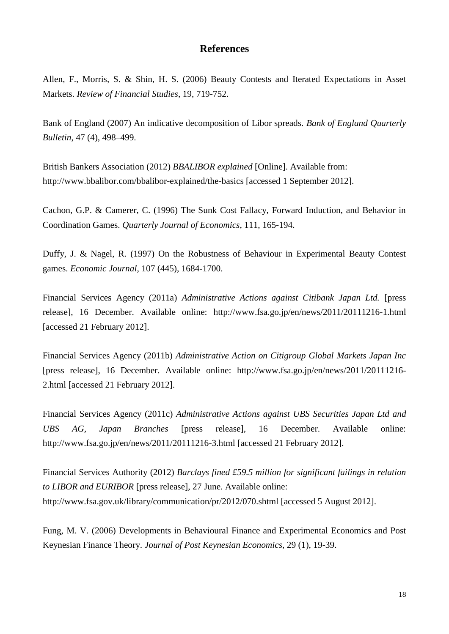## **References**

Allen, F., Morris, S. & Shin, H. S. (2006) Beauty Contests and Iterated Expectations in Asset Markets. *Review of Financial Studies*, 19, 719-752.

Bank of England (2007) An indicative decomposition of Libor spreads. *Bank of England Quarterly Bulletin*, 47 (4), 498–499.

British Bankers Association (2012) *BBALIBOR explained* [Online]. Available from: <http://www.bbalibor.com/bbalibor-explained/the-basics> [accessed 1 September 2012].

Cachon, G.P. & Camerer, C. (1996) The Sunk Cost Fallacy, Forward Induction, and Behavior in Coordination Games. *Quarterly Journal of Economics*, 111, 165-194.

Duffy, J. & Nagel, R. (1997) On the Robustness of Behaviour in Experimental Beauty Contest games. *Economic Journal*, 107 (445), 1684-1700.

Financial Services Agency (2011a) *Administrative Actions against Citibank Japan Ltd.* [press release], 16 December. Available online: <http://www.fsa.go.jp/en/news/2011/20111216-1.html> [accessed 21 February 2012].

Financial Services Agency (2011b) *Administrative Action on Citigroup Global Markets Japan Inc*  [press release], 16 December. Available online: [http://www.fsa.go.jp/en/news/2011/20111216-](http://www.fsa.go.jp/en/news/2011/20111216-2.html) [2.html](http://www.fsa.go.jp/en/news/2011/20111216-2.html) [accessed 21 February 2012].

Financial Services Agency (2011c) *Administrative Actions against UBS Securities Japan Ltd and UBS AG, Japan Branches* [press release], 16 December. Available online: <http://www.fsa.go.jp/en/news/2011/20111216-3.html> [accessed 21 February 2012].

Financial Services Authority (2012) *Barclays fined £59.5 million for significant failings in relation to LIBOR and EURIBOR* [press release], 27 June. Available online: <http://www.fsa.gov.uk/library/communication/pr/2012/070.shtml> [accessed 5 August 2012].

Fung, M. V. (2006) Developments in Behavioural Finance and Experimental Economics and Post Keynesian Finance Theory. *Journal of Post Keynesian Economics*, 29 (1), 19-39.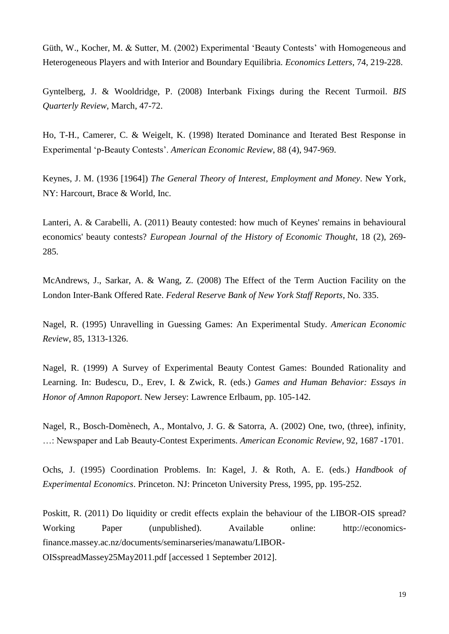Güth, W., Kocher, M. & Sutter, M. (2002) Experimental 'Beauty Contests' with Homogeneous and Heterogeneous Players and with Interior and Boundary Equilibria. *Economics Letters*, 74, 219-228.

Gyntelberg, J. & Wooldridge, P. (2008) Interbank Fixings during the Recent Turmoil. *BIS Quarterly Review*, March, 47-72.

Ho, T-H., Camerer, C. & Weigelt, K. (1998) Iterated Dominance and Iterated Best Response in Experimental 'p-Beauty Contests'. *American Economic Review*, 88 (4), 947-969.

Keynes, J. M. (1936 [1964]) *The General Theory of Interest, Employment and Money*. New York, NY: Harcourt, Brace & World, Inc.

Lanteri, A. & Carabelli, A. (2011) Beauty contested: how much of Keynes' remains in behavioural economics' beauty contests? *European Journal of the History of Economic Thought*, 18 (2), 269- 285.

McAndrews, J., Sarkar, A. & Wang, Z. (2008) The Effect of the Term Auction Facility on the London Inter-Bank Offered Rate. *Federal Reserve Bank of New York Staff Reports*, No. 335.

Nagel, R. (1995) Unravelling in Guessing Games: An Experimental Study. *American Economic Review*, 85, 1313-1326.

Nagel, R. (1999) A Survey of Experimental Beauty Contest Games: Bounded Rationality and Learning. In: Budescu, D., Erev, I. & Zwick, R. (eds.) *Games and Human Behavior: Essays in Honor of Amnon Rapoport*. New Jersey: Lawrence Erlbaum, pp. 105-142.

Nagel, R., Bosch-Domènech, A., Montalvo, J. G. & Satorra, A. (2002) One, two, (three), infinity, …: Newspaper and Lab Beauty-Contest Experiments. *American Economic Review*, 92, 1687 -1701.

Ochs, J. (1995) Coordination Problems. In: Kagel, J. & Roth, A. E. (eds.) *Handbook of Experimental Economics*. Princeton. NJ: Princeton University Press, 1995, pp. 195-252.

Poskitt, R. (2011) Do liquidity or credit effects explain the behaviour of the LIBOR-OIS spread? Working Paper (unpublished). Available online: [http://economics](http://economics-finance.massey.ac.nz/documents/seminarseries/manawatu/LIBOR-OISspreadMassey25May2011.pdf)[finance.massey.ac.nz/documents/seminarseries/manawatu/LIBOR-](http://economics-finance.massey.ac.nz/documents/seminarseries/manawatu/LIBOR-OISspreadMassey25May2011.pdf)[OISspreadMassey25May2011.pdf](http://economics-finance.massey.ac.nz/documents/seminarseries/manawatu/LIBOR-OISspreadMassey25May2011.pdf) [accessed 1 September 2012].